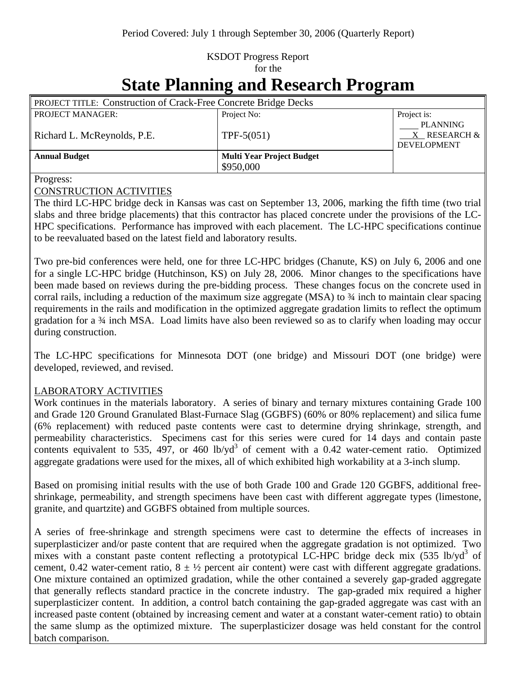## KSDOT Progress Report for the

# **State Planning and Research Program**

| <b>PROJECT TITLE: Construction of Crack-Free Concrete Bridge Decks</b> |                                  |                                                            |  |  |
|------------------------------------------------------------------------|----------------------------------|------------------------------------------------------------|--|--|
| <b>PROJECT MANAGER:</b>                                                | Project No:                      | Project is:                                                |  |  |
| Richard L. McReynolds, P.E.                                            | TPF- $5(051)$                    | <b>PLANNING</b><br>$X$ RESEARCH $\&$<br><b>DEVELOPMENT</b> |  |  |
| <b>Annual Budget</b>                                                   | <b>Multi Year Project Budget</b> |                                                            |  |  |
|                                                                        | \$950,000                        |                                                            |  |  |

Progress:

#### CONSTRUCTION ACTIVITIES

The third LC-HPC bridge deck in Kansas was cast on September 13, 2006, marking the fifth time (two trial slabs and three bridge placements) that this contractor has placed concrete under the provisions of the LC-HPC specifications. Performance has improved with each placement. The LC-HPC specifications continue to be reevaluated based on the latest field and laboratory results.

Two pre-bid conferences were held, one for three LC-HPC bridges (Chanute, KS) on July 6, 2006 and one for a single LC-HPC bridge (Hutchinson, KS) on July 28, 2006. Minor changes to the specifications have been made based on reviews during the pre-bidding process. These changes focus on the concrete used in corral rails, including a reduction of the maximum size aggregate (MSA) to  $\frac{3}{4}$  inch to maintain clear spacing requirements in the rails and modification in the optimized aggregate gradation limits to reflect the optimum gradation for a ¾ inch MSA. Load limits have also been reviewed so as to clarify when loading may occur during construction.

The LC-HPC specifications for Minnesota DOT (one bridge) and Missouri DOT (one bridge) were developed, reviewed, and revised.

#### LABORATORY ACTIVITIES

Work continues in the materials laboratory. A series of binary and ternary mixtures containing Grade 100 and Grade 120 Ground Granulated Blast-Furnace Slag (GGBFS) (60% or 80% replacement) and silica fume (6% replacement) with reduced paste contents were cast to determine drying shrinkage, strength, and permeability characteristics. Specimens cast for this series were cured for 14 days and contain paste contents equivalent to 535, 497, or 460  $lb/yd^3$  of cement with a 0.42 water-cement ratio. Optimized aggregate gradations were used for the mixes, all of which exhibited high workability at a 3-inch slump.

Based on promising initial results with the use of both Grade 100 and Grade 120 GGBFS, additional freeshrinkage, permeability, and strength specimens have been cast with different aggregate types (limestone, granite, and quartzite) and GGBFS obtained from multiple sources.

A series of free-shrinkage and strength specimens were cast to determine the effects of increases in superplasticizer and/or paste content that are required when the aggregate gradation is not optimized. Two mixes with a constant paste content reflecting a prototypical LC-HPC bridge deck mix (535 lb/yd<sup>3</sup> of cement, 0.42 water-cement ratio,  $8 \pm \frac{1}{2}$  percent air content) were cast with different aggregate gradations. One mixture contained an optimized gradation, while the other contained a severely gap-graded aggregate that generally reflects standard practice in the concrete industry. The gap-graded mix required a higher superplasticizer content. In addition, a control batch containing the gap-graded aggregate was cast with an increased paste content (obtained by increasing cement and water at a constant water-cement ratio) to obtain the same slump as the optimized mixture. The superplasticizer dosage was held constant for the control batch comparison.